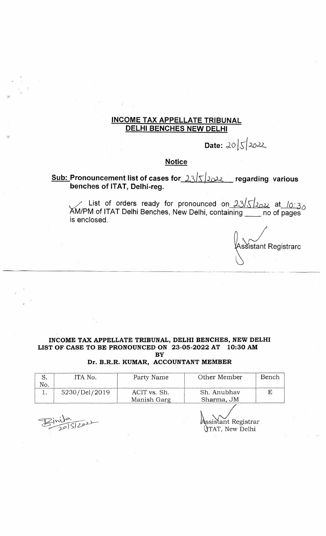## **INCOME TAX APPELLATE TRIBUNAL DELHI BENCHES NEW DELHI**

**Date:**  $20|5|2022$ 

## **Notice**

## **Sub: Pronouncement list of cases for 23/5/2022** regarding various **benches of ITAT, Delhi-reg.**

List of orders ready for pronounced on  $23/\zeta$  / $_{\odot}$   $_{\odot}$  at  $/_{\odot}$   $_{\odot}$   $_{\odot}$ AM/PM of ITAT Delhi Benches, New Delhi, containing no of pages is enclosed.

Assistant Registrarc

#### **INCOME TAX APPELLATE TRIBUNAL, DELHI BENCHES, NEW DELHI LIST OF CASE TO BE PRONOUNCED ON 23-05-2022 AT 10:30 AM BY**

**Dr. B.R.R. KUMAR, ACCOUNTANT MEMBER**

|    | ITA No.       | Party Name   | Other Member | Bench |
|----|---------------|--------------|--------------|-------|
| No |               |              |              |       |
|    | 5230/Del/2019 | ACIT vs. Sh. | Sh. Anubhav  |       |
|    |               | Manish Garg  | Sharma, JM   |       |
|    |               |              |              |       |

 $\frac{1}{2151202}$ 

\ssistant Registrar<br>∖TAT, New Delhi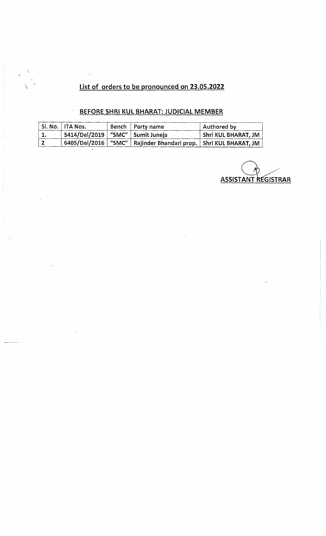# **List of orders to be pronounced on 23.05.2022**

# **BEFORE SHR1 KUL BHARAT: JUDICIAL MEMBER**

|     | Sl. No.   ITA Nos.                   | Bench   Party name                                                    | Authored by                |
|-----|--------------------------------------|-----------------------------------------------------------------------|----------------------------|
| 1.  | 5414/Del/2019   "SMC"   Sumit Juneja |                                                                       | <b>Shri KUL BHARAT, JM</b> |
| l 2 |                                      | 6405/Del/2016   "SMC"   Rajinder Bhandari prop.   Shri KUL BHARAT, JM |                            |

**ASSISTANT REGISTRAR**